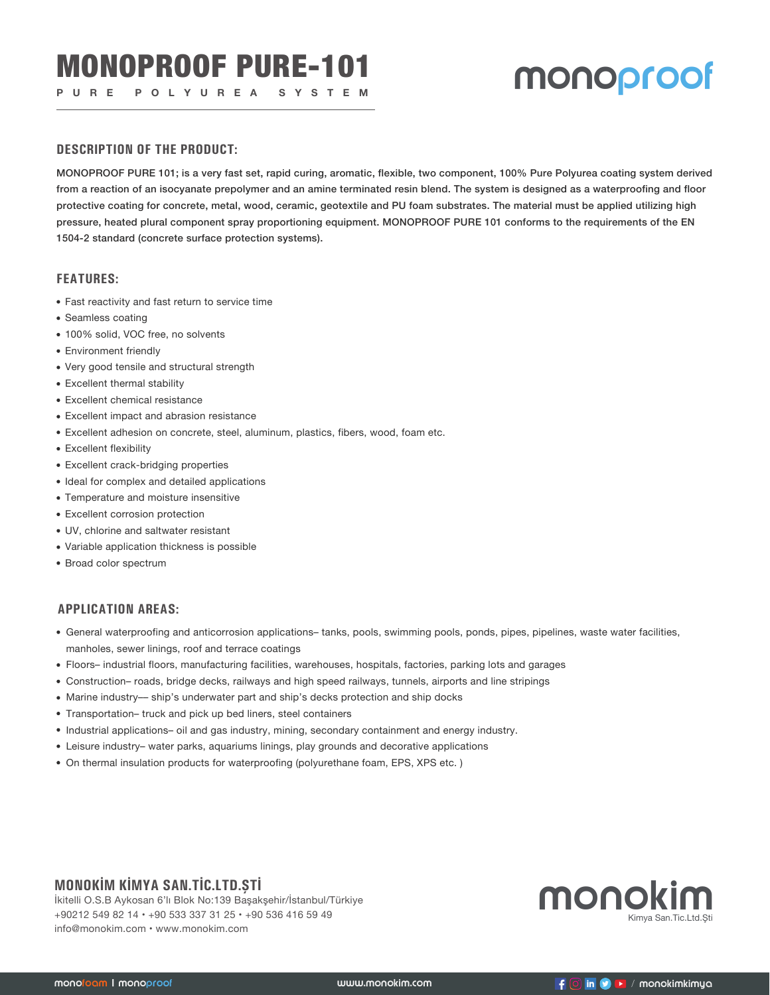## **PURE POLYUREA SYSTEM MONOPFOOF**

#### **DESCRIPTION OF THE PRODUCT:**

MONOPROOF PURE 101; is a very fast set, rapid curing, aromatic, flexible, two component, 100% Pure Polyurea coating system derived from a reaction of an isocyanate prepolymer and an amine terminated resin blend. The system is designed as a waterproofing and floor protective coating for concrete, metal, wood, ceramic, geotextile and PU foam substrates. The material must be applied utilizing high pressure, heated plural component spray proportioning equipment. MONOPROOF PURE 101 conforms to the requirements of the EN 1504-2 standard (concrete surface protection systems).

#### **FEATURES:**

- Fast reactivity and fast return to service time
- Seamless coating
- 100% solid, VOC free, no solvents
- Environment friendly
- Very good tensile and structural strength
- Excellent thermal stability
- Excellent chemical resistance
- Excellent impact and abrasion resistance
- Excellent adhesion on concrete, steel, aluminum, plastics, fibers, wood, foam etc.
- Excellent flexibility
- Excellent crack-bridging properties
- Ideal for complex and detailed applications
- Temperature and moisture insensitive
- Excellent corrosion protection
- UV, chlorine and saltwater resistant
- Variable application thickness is possible
- Broad color spectrum

#### **APPLICATION AREAS:**

- General waterproofing and anticorrosion applications– tanks, pools, swimming pools, ponds, pipes, pipelines, waste water facilities, manholes, sewer linings, roof and terrace coatings
- Floors– industrial floors, manufacturing facilities, warehouses, hospitals, factories, parking lots and garages
- Construction– roads, bridge decks, railways and high speed railways, tunnels, airports and line stripings
- Marine industry–– ship's underwater part and ship's decks protection and ship docks
- Transportation– truck and pick up bed liners, steel containers
- Industrial applications– oil and gas industry, mining, secondary containment and energy industry.
- Leisure industry– water parks, aquariums linings, play grounds and decorative applications
- On thermal insulation products for waterproofing (polyurethane foam, EPS, XPS etc. )

## **MONOKİM KİMYA SAN.TİC.LTD.ŞTİ**

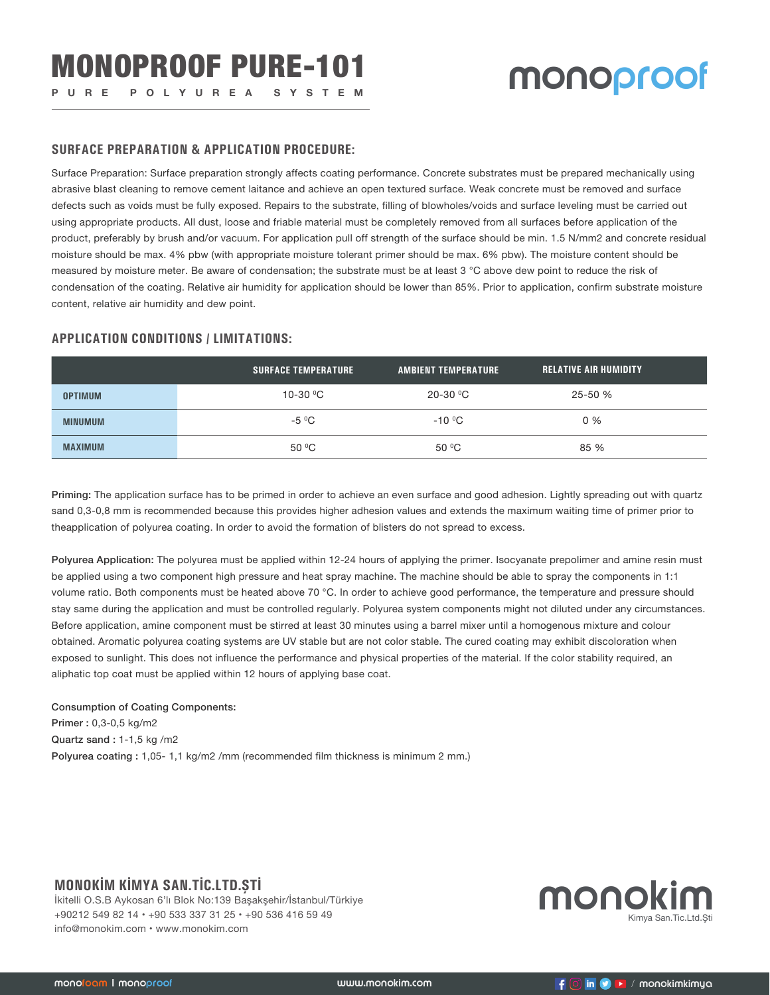#### **SURFACE PREPARATION & APPLICATION PROCEDURE:**

Surface Preparation: Surface preparation strongly affects coating performance. Concrete substrates must be prepared mechanically using abrasive blast cleaning to remove cement laitance and achieve an open textured surface. Weak concrete must be removed and surface defects such as voids must be fully exposed. Repairs to the substrate, filling of blowholes/voids and surface leveling must be carried out using appropriate products. All dust, loose and friable material must be completely removed from all surfaces before application of the product, preferably by brush and/or vacuum. For application pull off strength of the surface should be min. 1.5 N/mm2 and concrete residual moisture should be max. 4% pbw (with appropriate moisture tolerant primer should be max. 6% pbw). The moisture content should be measured by moisture meter. Be aware of condensation; the substrate must be at least 3 °C above dew point to reduce the risk of condensation of the coating. Relative air humidity for application should be lower than 85%. Prior to application, confirm substrate moisture content, relative air humidity and dew point.

#### **APPLICATION CONDITIONS / LIMITATIONS:**

|                | <b>SURFACE TEMPERATURE</b> | <b>AMBIENT TEMPERATURE</b> | <b>RELATIVE AIR HUMIDITY</b> |  |
|----------------|----------------------------|----------------------------|------------------------------|--|
| <b>OPTIMUM</b> | 10-30 $\,^{\circ}$ C       | 20-30 $\mathrm{^0C}$       | 25-50 %                      |  |
| <b>MINUMUM</b> | $-5\text{ °C}$             | $-10^{\circ}$ C            | $0\%$                        |  |
| <b>MAXIMUM</b> | $50^{\circ}$ C             | $50^{\circ}$ C             | 85 %                         |  |

Priming: The application surface has to be primed in order to achieve an even surface and good adhesion. Lightly spreading out with quartz sand 0,3-0,8 mm is recommended because this provides higher adhesion values and extends the maximum waiting time of primer prior to theapplication of polyurea coating. In order to avoid the formation of blisters do not spread to excess.

Polyurea Application: The polyurea must be applied within 12-24 hours of applying the primer. Isocyanate prepolimer and amine resin must be applied using a two component high pressure and heat spray machine. The machine should be able to spray the components in 1:1 volume ratio. Both components must be heated above 70 °C. In order to achieve good performance, the temperature and pressure should stay same during the application and must be controlled regularly. Polyurea system components might not diluted under any circumstances. Before application, amine component must be stirred at least 30 minutes using a barrel mixer until a homogenous mixture and colour obtained. Aromatic polyurea coating systems are UV stable but are not color stable. The cured coating may exhibit discoloration when exposed to sunlight. This does not influence the performance and physical properties of the material. If the color stability required, an aliphatic top coat must be applied within 12 hours of applying base coat.

#### Consumption of Coating Components: Primer : 0,3-0,5 kg/m2 Quartz sand : 1-1,5 kg /m2 Polyurea coating : 1,05- 1,1 kg/m2 /mm (recommended film thickness is minimum 2 mm.)

#### **MONOKİM KİMYA SAN.TİC.LTD.ŞTİ**

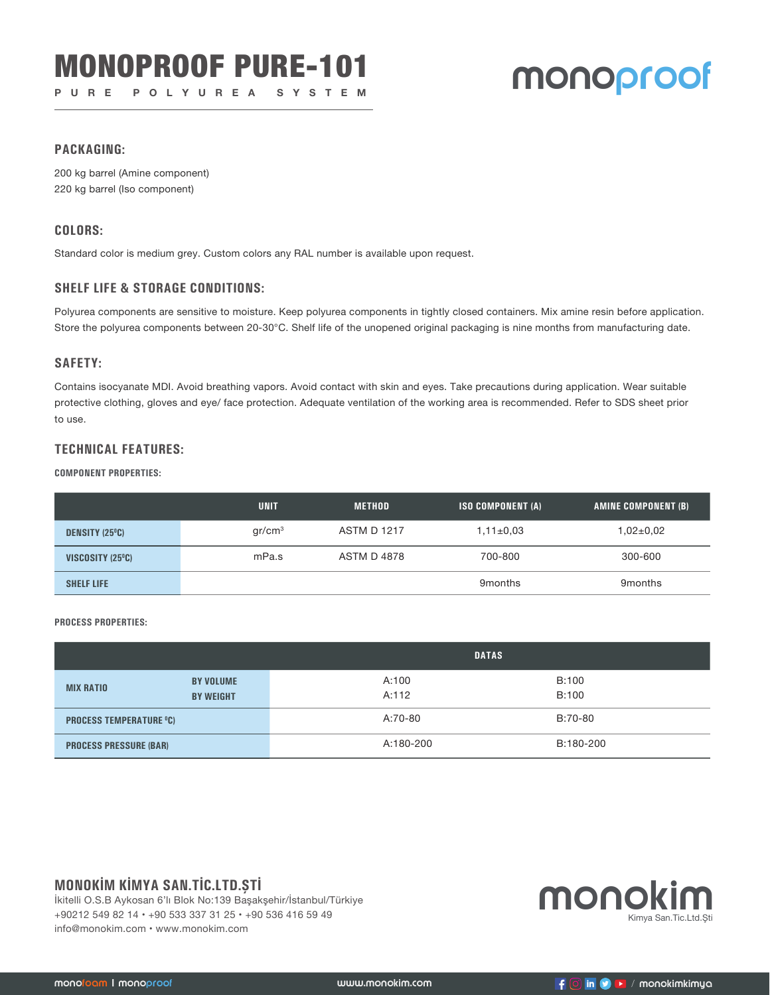# **MONOPROOF PURE-101 MONOPROOF**

#### **PACKAGING:**

200 kg barrel (Amine component) 220 kg barrel (Iso component)

#### **COLORS:**

Standard color is medium grey. Custom colors any RAL number is available upon request.

#### **SHELF LIFE & STORAGE CONDITIONS:**

Polyurea components are sensitive to moisture. Keep polyurea components in tightly closed containers. Mix amine resin before application. Store the polyurea components between 20-30°C. Shelf life of the unopened original packaging is nine months from manufacturing date.

#### **SAFETY:**

Contains isocyanate MDI. Avoid breathing vapors. Avoid contact with skin and eyes. Take precautions during application. Wear suitable protective clothing, gloves and eye/ face protection. Adequate ventilation of the working area is recommended. Refer to SDS sheet prior to use.

#### **TECHNICAL FEATURES:**

#### **COMPONENT PROPERTIES:**

|                       | <b>UNIT</b>        | <b>METHOD</b>      | <b>ISO COMPONENT (A)</b> | AMINE COMPONENT (B) |
|-----------------------|--------------------|--------------------|--------------------------|---------------------|
| <b>DENSITY (25°C)</b> | gr/cm <sup>3</sup> | <b>ASTM D 1217</b> | $1,11\pm0.03$            | $1,02{\pm}0.02$     |
| VISCOSITY (25°C)      | mPa.s              | <b>ASTM D 4878</b> | 700-800                  | 300-600             |
| <b>SHELF LIFE</b>     |                    |                    | 9 <sub>months</sub>      | 9 <sub>months</sub> |

**PROCESS PROPERTIES:**

|                                |                                      | <b>DATAS</b>   |                |  |
|--------------------------------|--------------------------------------|----------------|----------------|--|
| <b>MIX RATIO</b>               | <b>BY VOLUME</b><br><b>BY WEIGHT</b> | A:100<br>A:112 | B:100<br>B:100 |  |
| <b>PROCESS TEMPERATURE °C)</b> |                                      | A:70-80        | B:70-80        |  |
| <b>PROCESS PRESSURE (BAR)</b>  |                                      | A:180-200      | B:180-200      |  |

### **MONOKİM KİMYA SAN.TİC.LTD.ŞTİ**

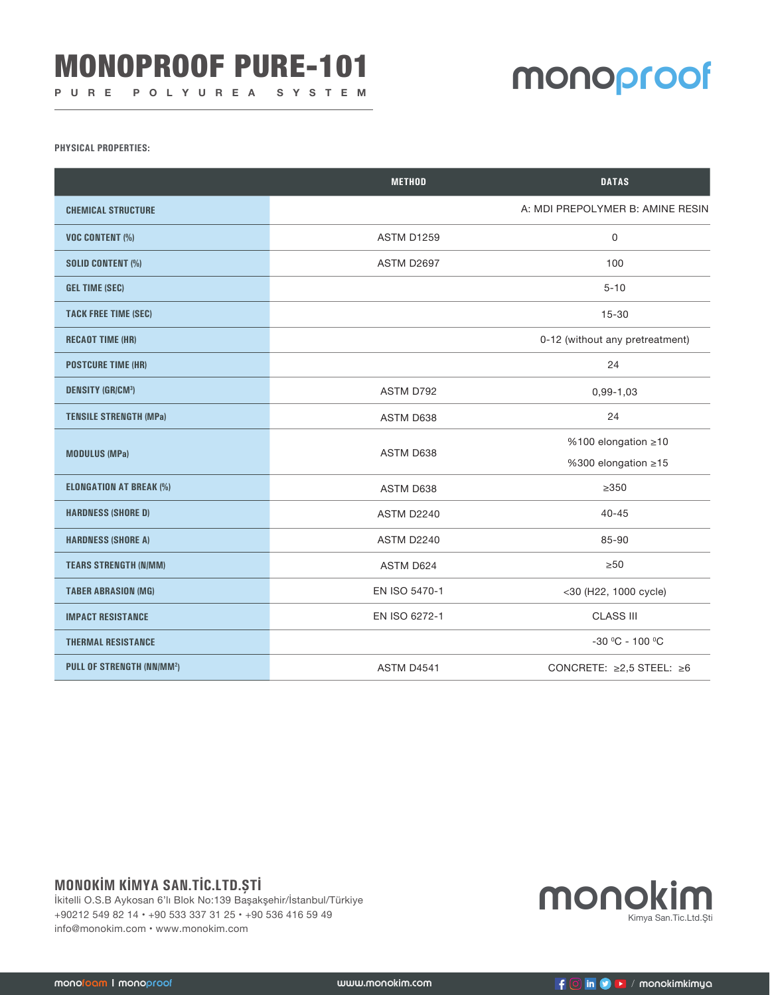# MONOPROOF PURE-101

## **MONOproof**

**PHYSICAL PROPERTIES:**

|                                  | <b>METHOD</b>     | <b>DATAS</b>                         |
|----------------------------------|-------------------|--------------------------------------|
| <b>CHEMICAL STRUCTURE</b>        |                   | A: MDI PREPOLYMER B: AMINE RESIN     |
| <b>VOC CONTENT (%)</b>           | <b>ASTM D1259</b> | 0                                    |
| <b>SOLID CONTENT (%)</b>         | ASTM D2697        | 100                                  |
| <b>GEL TIME (SEC)</b>            |                   | $5 - 10$                             |
| <b>TACK FREE TIME (SEC)</b>      |                   | $15 - 30$                            |
| <b>RECAOT TIME (HR)</b>          |                   | 0-12 (without any pretreatment)      |
| <b>POSTCURE TIME (HR)</b>        |                   | 24                                   |
| <b>DENSITY (GR/CM3)</b>          | ASTM D792         | $0,99-1,03$                          |
| <b>TENSILE STRENGTH (MPa)</b>    | ASTM D638         | 24                                   |
| <b>MODULUS (MPa)</b>             | ASTM D638         | %100 elongation ≥10                  |
|                                  |                   | %300 elongation ≥15                  |
| <b>ELONGATION AT BREAK (%)</b>   | ASTM D638         | $\geq$ 350                           |
| <b>HARDNESS (SHORE D)</b>        | ASTM D2240        | $40 - 45$                            |
| <b>HARDNESS (SHORE A)</b>        | ASTM D2240        | 85-90                                |
| <b>TEARS STRENGTH (N/MM)</b>     | ASTM D624         | $\geq 50$                            |
| <b>TABER ABRASION (MG)</b>       | EN ISO 5470-1     | <30 (H22, 1000 cycle)                |
| <b>IMPACT RESISTANCE</b>         | EN ISO 6272-1     | <b>CLASS III</b>                     |
| <b>THERMAL RESISTANCE</b>        |                   | $-30$ °C - 100 °C                    |
| <b>PULL OF STRENGTH (NN/MM2)</b> | ASTM D4541        | CONCRETE: $\geq 2.5$ STEEL: $\geq 6$ |

## **MONOKİM KİMYA SAN.TİC.LTD.ŞTİ**